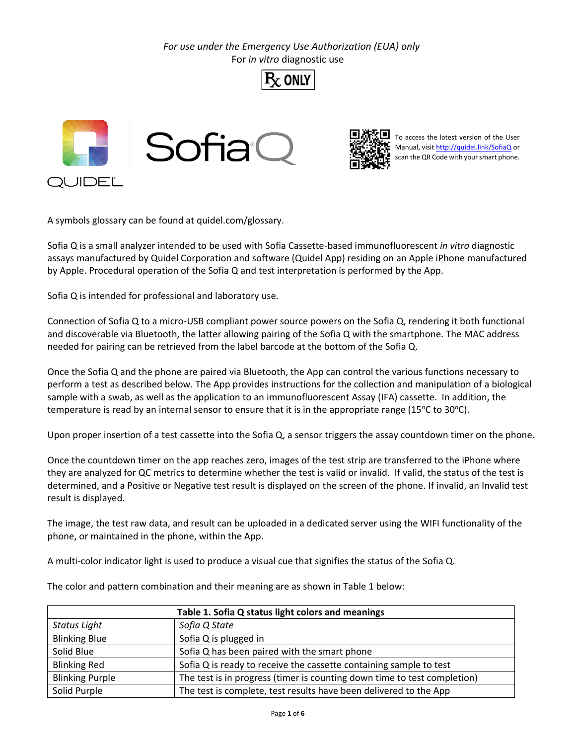*For use under the Emergency Use Authorization (EUA) only* For *in vitro* diagnostic use







To access the latest version of the User Manual, visi[t http://quidel.link/SofiaQ](http://quidel.link/SofiaQ) or scan the QR Code with your smart phone.

A symbols glossary can be found at quidel.com/glossary.

Sofia Q is a small analyzer intended to be used with Sofia Cassette-based immunofluorescent *in vitro* diagnostic assays manufactured by Quidel Corporation and software (Quidel App) residing on an Apple iPhone manufactured by Apple. Procedural operation of the Sofia Q and test interpretation is performed by the App.

Sofia Q is intended for professional and laboratory use.

Connection of Sofia Q to a micro-USB compliant power source powers on the Sofia Q, rendering it both functional and discoverable via Bluetooth, the latter allowing pairing of the Sofia Q with the smartphone. The MAC address needed for pairing can be retrieved from the label barcode at the bottom of the Sofia Q.

Once the Sofia Q and the phone are paired via Bluetooth, the App can control the various functions necessary to perform a test as described below. The App provides instructions for the collection and manipulation of a biological sample with a swab, as well as the application to an immunofluorescent Assay (IFA) cassette. In addition, the temperature is read by an internal sensor to ensure that it is in the appropriate range (15 $\degree$ C to 30 $\degree$ C).

Upon proper insertion of a test cassette into the Sofia Q, a sensor triggers the assay countdown timer on the phone.

Once the countdown timer on the app reaches zero, images of the test strip are transferred to the iPhone where they are analyzed for QC metrics to determine whether the test is valid or invalid. If valid, the status of the test is determined, and a Positive or Negative test result is displayed on the screen of the phone. If invalid, an Invalid test result is displayed.

The image, the test raw data, and result can be uploaded in a dedicated server using the WIFI functionality of the phone, or maintained in the phone, within the App.

A multi-color indicator light is used to produce a visual cue that signifies the status of the Sofia Q.

The color and pattern combination and their meaning are as shown in Table 1 below:

| Table 1. Sofia Q status light colors and meanings |                                                                          |  |
|---------------------------------------------------|--------------------------------------------------------------------------|--|
| Status Light                                      | Sofia Q State                                                            |  |
| <b>Blinking Blue</b>                              | Sofia Q is plugged in                                                    |  |
| Solid Blue                                        | Sofia Q has been paired with the smart phone                             |  |
| <b>Blinking Red</b>                               | Sofia Q is ready to receive the cassette containing sample to test       |  |
| <b>Blinking Purple</b>                            | The test is in progress (timer is counting down time to test completion) |  |
| Solid Purple                                      | The test is complete, test results have been delivered to the App        |  |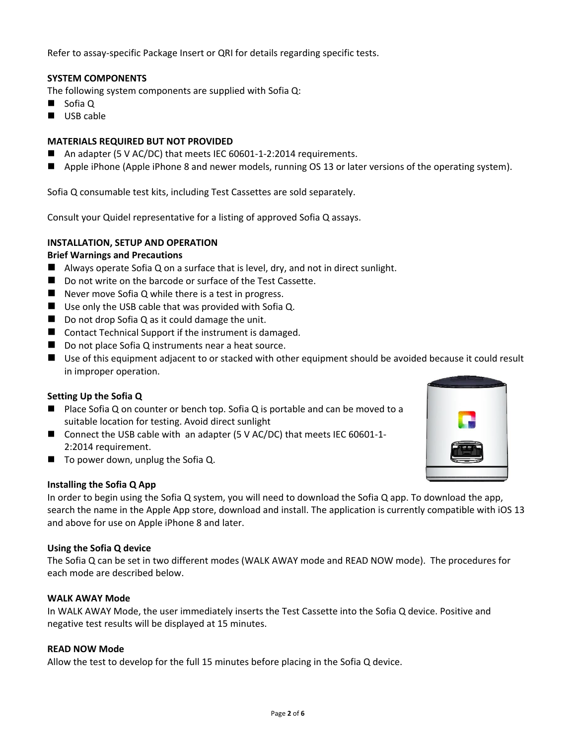Refer to assay-specific Package Insert or QRI for details regarding specific tests.

# **SYSTEM COMPONENTS**

The following system components are supplied with Sofia Q:

- Sofia Q
- USB cable

## **MATERIALS REQUIRED BUT NOT PROVIDED**

- An adapter (5 V AC/DC) that meets IEC 60601-1-2:2014 requirements.
- Apple iPhone (Apple iPhone 8 and newer models, running OS 13 or later versions of the operating system).

Sofia Q consumable test kits, including Test Cassettes are sold separately.

Consult your Quidel representative for a listing of approved Sofia Q assays.

## **INSTALLATION, SETUP AND OPERATION**

### **Brief Warnings and Precautions**

- Always operate Sofia Q on a surface that is level, dry, and not in direct sunlight.
- Do not write on the barcode or surface of the Test Cassette.
- Never move Sofia Q while there is a test in progress.
- Use only the USB cable that was provided with Sofia Q.
- Do not drop Sofia Q as it could damage the unit.
- Contact Technical Support if the instrument is damaged.
- Do not place Sofia Q instruments near a heat source.
- Use of this equipment adjacent to or stacked with other equipment should be avoided because it could result in improper operation.

# **Setting Up the Sofia Q**

- Place Sofia Q on counter or bench top. Sofia Q is portable and can be moved to a suitable location for testing. Avoid direct sunlight
- Connect the USB cable with an adapter (5 V AC/DC) that meets IEC 60601-1-2:2014 requirement.
- To power down, unplug the Sofia Q.

### **Installing the Sofia Q App**

In order to begin using the Sofia Q system, you will need to download the Sofia Q app. To download the app, search the name in the Apple App store, download and install. The application is currently compatible with iOS 13 and above for use on Apple iPhone 8 and later.

### **Using the Sofia Q device**

The Sofia Q can be set in two different modes (WALK AWAY mode and READ NOW mode). The procedures for each mode are described below.

### **WALK AWAY Mode**

In WALK AWAY Mode, the user immediately inserts the Test Cassette into the Sofia Q device. Positive and negative test results will be displayed at 15 minutes.

### **READ NOW Mode**

Allow the test to develop for the full 15 minutes before placing in the Sofia Q device.

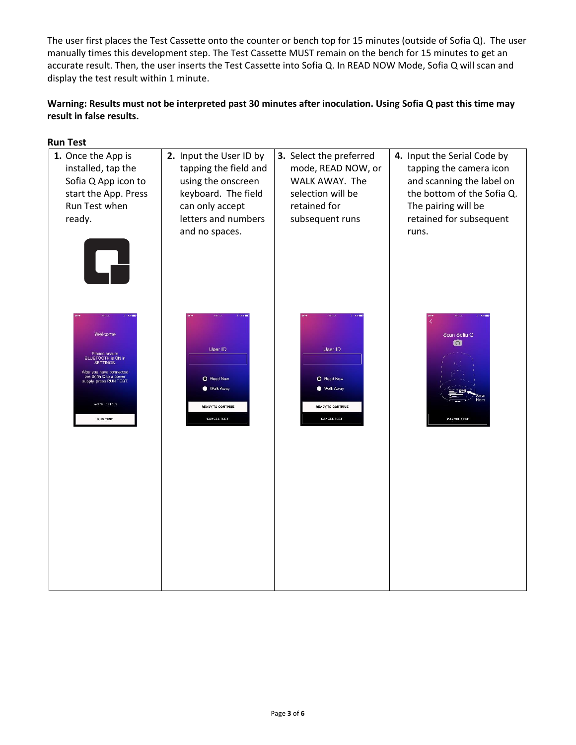The user first places the Test Cassette onto the counter or bench top for 15 minutes (outside of Sofia Q). The user manually times this development step. The Test Cassette MUST remain on the bench for 15 minutes to get an accurate result. Then, the user inserts the Test Cassette into Sofia Q. In READ NOW Mode, Sofia Q will scan and display the test result within 1 minute.

# **Warning: Results must not be interpreted past 30 minutes after inoculation. Using Sofia Q past this time may result in false results.**

| tapping the field and<br>using the onscreen<br>keyboard. The field<br>can only accept<br>letters and numbers<br>and no spaces. | mode, READ NOW, or<br>WALK AWAY. The<br>selection will be<br>retained for<br>subsequent runs | 4. Input the Serial Code by<br>tapping the camera icon<br>and scanning the label on<br>the bottom of the Sofia Q.<br>The pairing will be<br>retained for subsequent<br>runs. |
|--------------------------------------------------------------------------------------------------------------------------------|----------------------------------------------------------------------------------------------|------------------------------------------------------------------------------------------------------------------------------------------------------------------------------|
| User ID<br>O Read Now<br>Walk Away<br><b>READY TO CONTINUE</b><br><b>CANCEL TEST</b>                                           | User ID<br>O Read Now<br>Walk Away<br><b>READY TO CONTINUE</b><br><b>CANCEL TEST</b>         | Scan Sofia Q<br>$\bullet$<br><b>CANGEL TEST</b>                                                                                                                              |
|                                                                                                                                | 2. Input the User ID by                                                                      | 3. Select the preferred                                                                                                                                                      |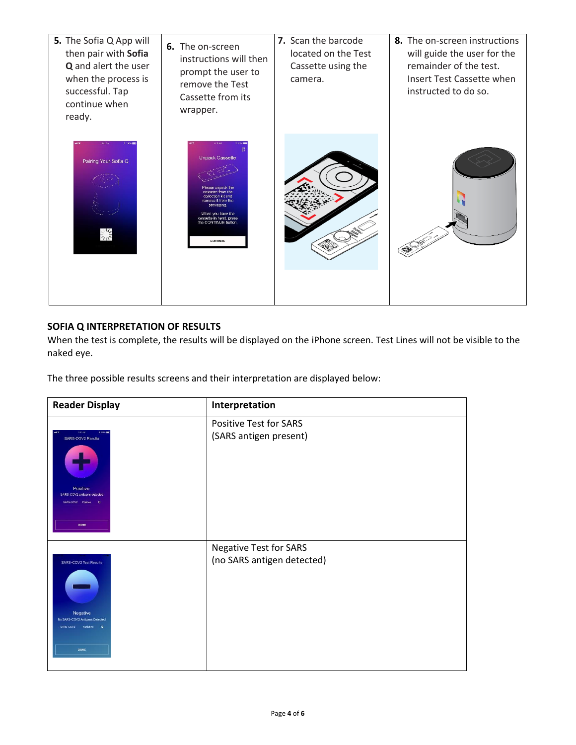

# **SOFIA Q INTERPRETATION OF RESULTS**

When the test is complete, the results will be displayed on the iPhone screen. Test Lines will not be visible to the naked eye.

The three possible results screens and their interpretation are displayed below:

| <b>Reader Display</b>                                                                                                               | Interpretation                                              |
|-------------------------------------------------------------------------------------------------------------------------------------|-------------------------------------------------------------|
| <b>KATINE</b><br>8 100% (二)<br>SARS-COV2 Results<br>Positive<br>SARS-COV2 antigens detected<br>SARS-COV2 Positive CI<br><b>DONE</b> | <b>Positive Test for SARS</b><br>(SARS antigen present)     |
| SARS-COV2 Test Results<br>Negative<br>No SARS-COV2 Antigens Detected<br>SARS-COV2 Negative<br>$\bullet$<br><b>DONE</b>              | <b>Negative Test for SARS</b><br>(no SARS antigen detected) |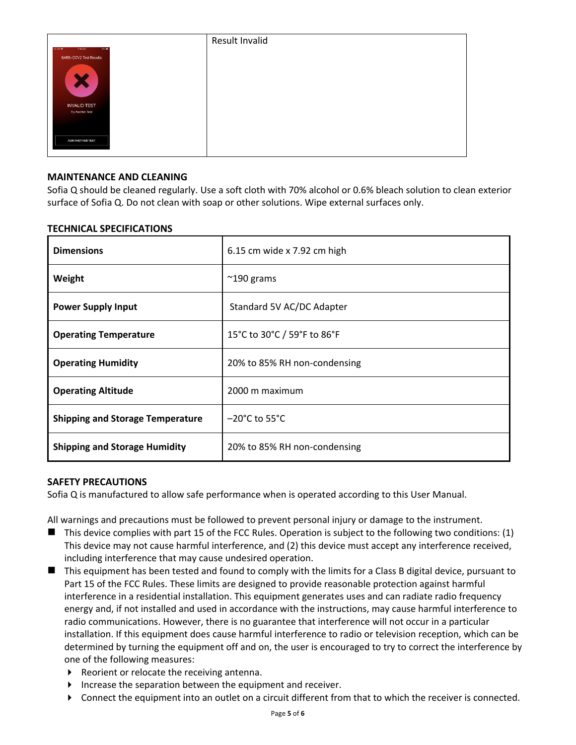|                               | Result Invalid |
|-------------------------------|----------------|
| 696.<br>No Star ?<br>11:45 AM |                |
| SARS-COV2 Test Results        |                |
| $\bm{x}$                      |                |
| <b>INVALID TEST</b>           |                |
| Try Another Test              |                |
|                               |                |
| <b>RUN ANOTHER TEST</b>       |                |

# **MAINTENANCE AND CLEANING**

Sofia Q should be cleaned regularly. Use a soft cloth with 70% alcohol or 0.6% bleach solution to clean exterior surface of Sofia Q. Do not clean with soap or other solutions. Wipe external surfaces only.

## **TECHNICAL SPECIFICATIONS**

| <b>Dimensions</b>                       | 6.15 cm wide x 7.92 cm high        |
|-----------------------------------------|------------------------------------|
| Weight                                  | $^{\sim}$ 190 grams                |
| <b>Power Supply Input</b>               | Standard 5V AC/DC Adapter          |
| <b>Operating Temperature</b>            | 15°C to 30°C / 59°F to 86°F        |
| <b>Operating Humidity</b>               | 20% to 85% RH non-condensing       |
| <b>Operating Altitude</b>               | 2000 m maximum                     |
| <b>Shipping and Storage Temperature</b> | $-20^{\circ}$ C to 55 $^{\circ}$ C |
| <b>Shipping and Storage Humidity</b>    | 20% to 85% RH non-condensing       |

# **SAFETY PRECAUTIONS**

Sofia Q is manufactured to allow safe performance when is operated according to this User Manual.

All warnings and precautions must be followed to prevent personal injury or damage to the instrument.

- This device complies with part 15 of the FCC Rules. Operation is subject to the following two conditions: (1) This device may not cause harmful interference, and (2) this device must accept any interference received, including interference that may cause undesired operation.
- This equipment has been tested and found to comply with the limits for a Class B digital device, pursuant to Part 15 of the FCC Rules. These limits are designed to provide reasonable protection against harmful interference in a residential installation. This equipment generates uses and can radiate radio frequency energy and, if not installed and used in accordance with the instructions, may cause harmful interference to radio communications. However, there is no guarantee that interference will not occur in a particular installation. If this equipment does cause harmful interference to radio or television reception, which can be determined by turning the equipment off and on, the user is encouraged to try to correct the interference by one of the following measures:
	- ▶ Reorient or relocate the receiving antenna.
	- $\blacktriangleright$  Increase the separation between the equipment and receiver.
	- Connect the equipment into an outlet on a circuit different from that to which the receiver is connected.